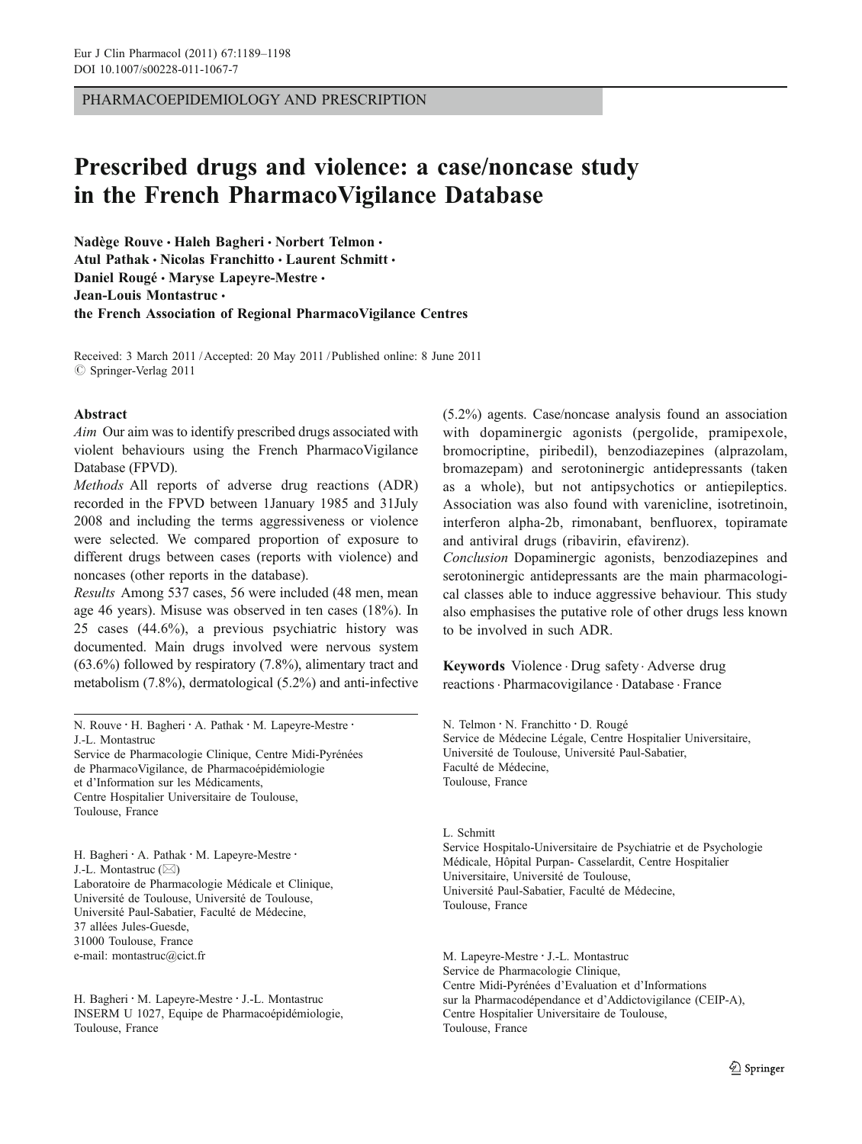PHARMACOEPIDEMIOLOGY AND PRESCRIPTION

# Prescribed drugs and violence: a case/noncase study in the French PharmacoVigilance Database

Nadège Rouve · Haleh Bagheri · Norbert Telmon · Atul Pathak · Nicolas Franchitto · Laurent Schmitt · Daniel Rougé · Maryse Lapeyre-Mestre · Jean-Louis Montastruc . the French Association of Regional PharmacoVigilance Centres

Received: 3 March 2011 /Accepted: 20 May 2011 / Published online: 8 June 2011 © Springer-Verlag 2011

# Abstract

Aim Our aim was to identify prescribed drugs associated with violent behaviours using the French PharmacoVigilance Database (FPVD).

Methods All reports of adverse drug reactions (ADR) recorded in the FPVD between 1January 1985 and 31July 2008 and including the terms aggressiveness or violence were selected. We compared proportion of exposure to different drugs between cases (reports with violence) and noncases (other reports in the database).

Results Among 537 cases, 56 were included (48 men, mean age 46 years). Misuse was observed in ten cases (18%). In 25 cases (44.6%), a previous psychiatric history was documented. Main drugs involved were nervous system (63.6%) followed by respiratory (7.8%), alimentary tract and metabolism (7.8%), dermatological (5.2%) and anti-infective

N. Rouve : H. Bagheri : A. Pathak : M. Lapeyre-Mestre : J.-L. Montastruc Service de Pharmacologie Clinique, Centre Midi-Pyrénées de PharmacoVigilance, de Pharmacoépidémiologie et d'Information sur les Médicaments, Centre Hospitalier Universitaire de Toulouse, Toulouse, France

H. Bagheri : A. Pathak : M. Lapeyre-Mestre : J.-L. Montastruc ( $\boxtimes$ ) Laboratoire de Pharmacologie Médicale et Clinique, Université de Toulouse, Université de Toulouse, Université Paul-Sabatier, Faculté de Médecine, 37 allées Jules-Guesde, 31000 Toulouse, France e-mail: montastruc@cict.fr

H. Bagheri : M. Lapeyre-Mestre : J.-L. Montastruc INSERM U 1027, Equipe de Pharmacoépidémiologie, Toulouse, France

(5.2%) agents. Case/noncase analysis found an association with dopaminergic agonists (pergolide, pramipexole, bromocriptine, piribedil), benzodiazepines (alprazolam, bromazepam) and serotoninergic antidepressants (taken as a whole), but not antipsychotics or antiepileptics. Association was also found with varenicline, isotretinoin, interferon alpha-2b, rimonabant, benfluorex, topiramate and antiviral drugs (ribavirin, efavirenz).

Conclusion Dopaminergic agonists, benzodiazepines and serotoninergic antidepressants are the main pharmacological classes able to induce aggressive behaviour. This study also emphasises the putative role of other drugs less known to be involved in such ADR.

Keywords Violence . Drug safety . Adverse drug reactions. Pharmacovigilance . Database . France

N. Telmon : N. Franchitto : D. Rougé Service de Médecine Légale, Centre Hospitalier Universitaire, Université de Toulouse, Université Paul-Sabatier, Faculté de Médecine, Toulouse, France

L. Schmitt Service Hospitalo-Universitaire de Psychiatrie et de Psychologie Médicale, Hôpital Purpan- Casselardit, Centre Hospitalier Universitaire, Université de Toulouse, Université Paul-Sabatier, Faculté de Médecine, Toulouse, France

M. Lapeyre-Mestre : J.-L. Montastruc Service de Pharmacologie Clinique, Centre Midi-Pyrénées d'Evaluation et d'Informations sur la Pharmacodépendance et d'Addictovigilance (CEIP-A), Centre Hospitalier Universitaire de Toulouse, Toulouse, France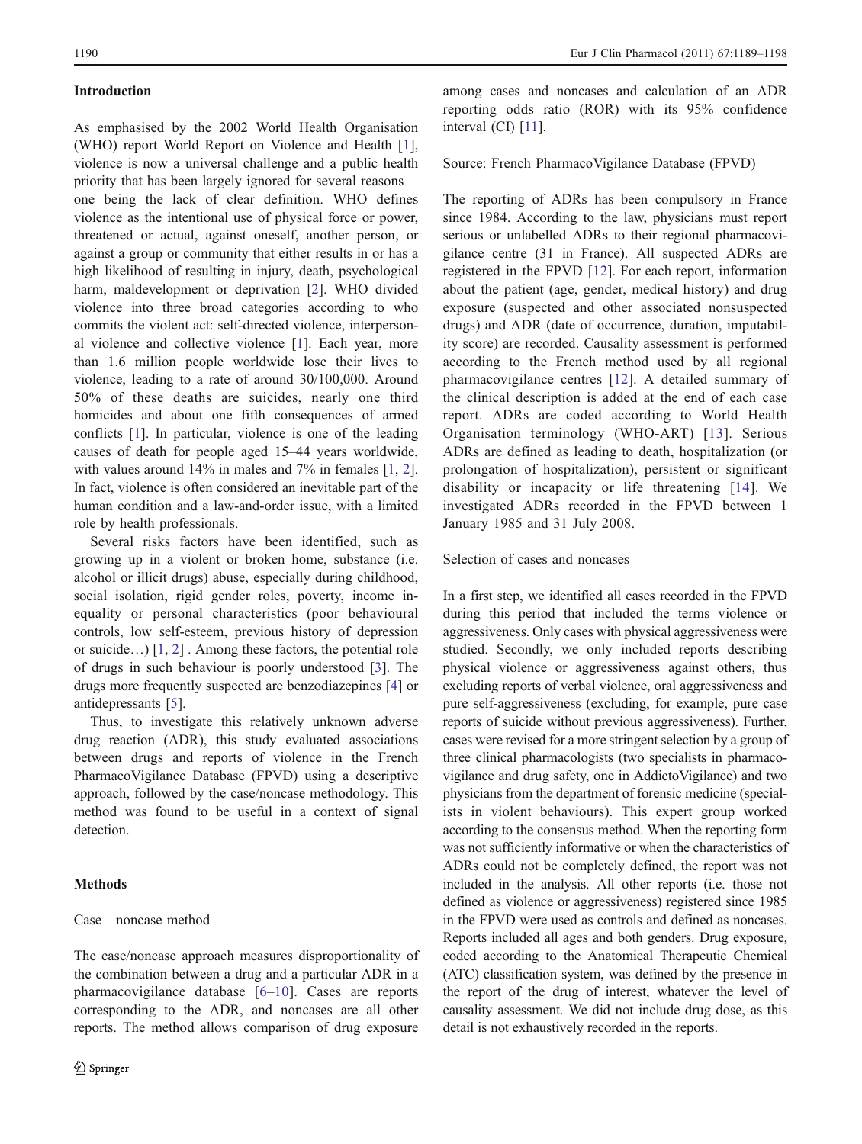# Introduction

As emphasised by the 2002 World Health Organisation (WHO) report World Report on Violence and Health [\[1](#page-8-0)], violence is now a universal challenge and a public health priority that has been largely ignored for several reasons one being the lack of clear definition. WHO defines violence as the intentional use of physical force or power, threatened or actual, against oneself, another person, or against a group or community that either results in or has a high likelihood of resulting in injury, death, psychological harm, maldevelopment or deprivation [\[2](#page-8-0)]. WHO divided violence into three broad categories according to who commits the violent act: self-directed violence, interpersonal violence and collective violence [[1\]](#page-8-0). Each year, more than 1.6 million people worldwide lose their lives to violence, leading to a rate of around 30/100,000. Around 50% of these deaths are suicides, nearly one third homicides and about one fifth consequences of armed conflicts [\[1](#page-8-0)]. In particular, violence is one of the leading causes of death for people aged 15–44 years worldwide, with values around 14% in males and 7% in females [\[1](#page-8-0), [2](#page-8-0)]. In fact, violence is often considered an inevitable part of the human condition and a law-and-order issue, with a limited role by health professionals.

Several risks factors have been identified, such as growing up in a violent or broken home, substance (i.e. alcohol or illicit drugs) abuse, especially during childhood, social isolation, rigid gender roles, poverty, income inequality or personal characteristics (poor behavioural controls, low self-esteem, previous history of depression or suicide…) [[1,](#page-8-0) [2\]](#page-8-0) . Among these factors, the potential role of drugs in such behaviour is poorly understood [[3\]](#page-8-0). The drugs more frequently suspected are benzodiazepines [[4\]](#page-8-0) or antidepressants [[5\]](#page-8-0).

Thus, to investigate this relatively unknown adverse drug reaction (ADR), this study evaluated associations between drugs and reports of violence in the French PharmacoVigilance Database (FPVD) using a descriptive approach, followed by the case/noncase methodology. This method was found to be useful in a context of signal detection.

The case/noncase approach measures disproportionality of the combination between a drug and a particular ADR in a pharmacovigilance database [\[6](#page-8-0)–[10\]](#page-8-0). Cases are reports corresponding to the ADR, and noncases are all other

# Methods

## Case—noncase method

among cases and noncases and calculation of an ADR reporting odds ratio (ROR) with its 95% confidence interval (CI) [\[11\]](#page-8-0).

Source: French PharmacoVigilance Database (FPVD)

The reporting of ADRs has been compulsory in France since 1984. According to the law, physicians must report serious or unlabelled ADRs to their regional pharmacovigilance centre (31 in France). All suspected ADRs are registered in the FPVD [[12\]](#page-8-0). For each report, information about the patient (age, gender, medical history) and drug exposure (suspected and other associated nonsuspected drugs) and ADR (date of occurrence, duration, imputability score) are recorded. Causality assessment is performed according to the French method used by all regional pharmacovigilance centres [\[12](#page-8-0)]. A detailed summary of the clinical description is added at the end of each case report. ADRs are coded according to World Health Organisation terminology (WHO-ART) [[13](#page-8-0)]. Serious ADRs are defined as leading to death, hospitalization (or prolongation of hospitalization), persistent or significant disability or incapacity or life threatening [[14](#page-8-0)]. We investigated ADRs recorded in the FPVD between 1 January 1985 and 31 July 2008.

# Selection of cases and noncases

In a first step, we identified all cases recorded in the FPVD during this period that included the terms violence or aggressiveness. Only cases with physical aggressiveness were studied. Secondly, we only included reports describing physical violence or aggressiveness against others, thus excluding reports of verbal violence, oral aggressiveness and pure self-aggressiveness (excluding, for example, pure case reports of suicide without previous aggressiveness). Further, cases were revised for a more stringent selection by a group of three clinical pharmacologists (two specialists in pharmacovigilance and drug safety, one in AddictoVigilance) and two physicians from the department of forensic medicine (specialists in violent behaviours). This expert group worked according to the consensus method. When the reporting form was not sufficiently informative or when the characteristics of ADRs could not be completely defined, the report was not included in the analysis. All other reports (i.e. those not defined as violence or aggressiveness) registered since 1985 in the FPVD were used as controls and defined as noncases. Reports included all ages and both genders. Drug exposure, coded according to the Anatomical Therapeutic Chemical (ATC) classification system, was defined by the presence in the report of the drug of interest, whatever the level of causality assessment. We did not include drug dose, as this detail is not exhaustively recorded in the reports.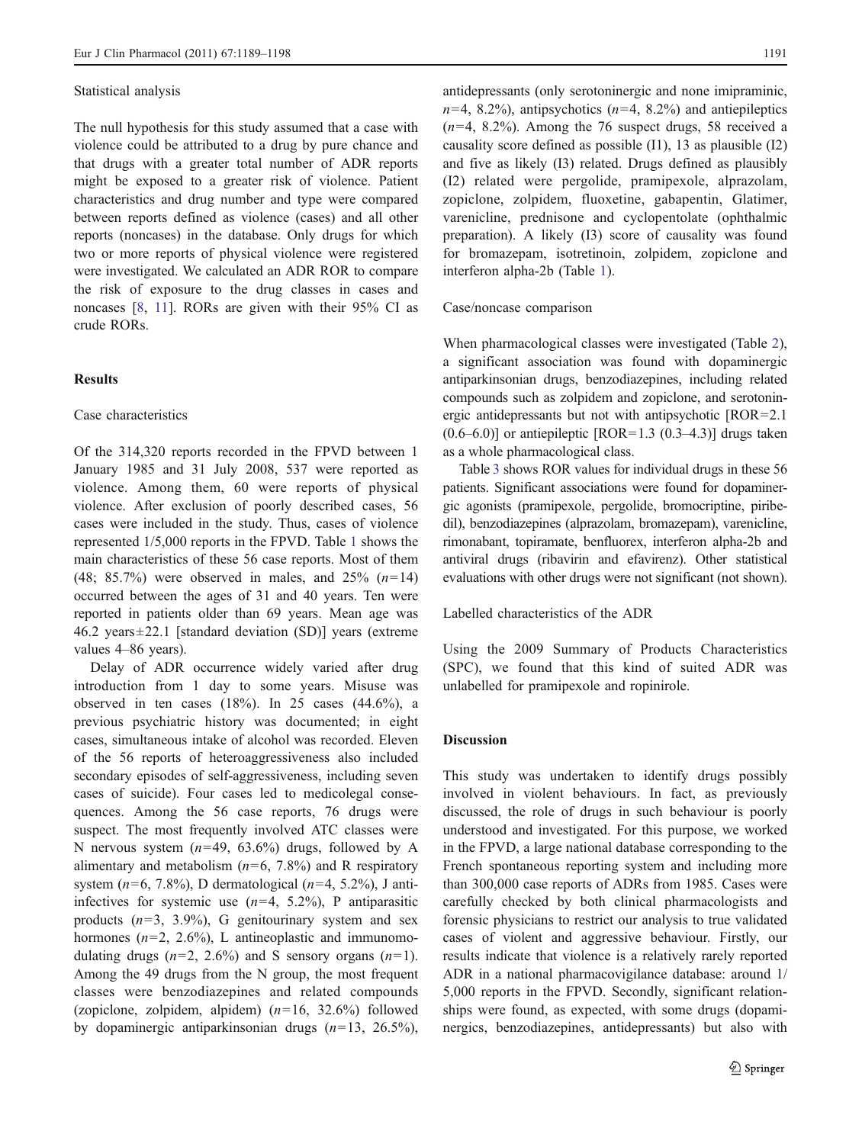### Statistical analysis

The null hypothesis for this study assumed that a case with violence could be attributed to a drug by pure chance and that drugs with a greater total number of ADR reports might be exposed to a greater risk of violence. Patient characteristics and drug number and type were compared between reports defined as violence (cases) and all other reports (noncases) in the database. Only drugs for which two or more reports of physical violence were registered were investigated. We calculated an ADR ROR to compare the risk of exposure to the drug classes in cases and noncases [[8,](#page-8-0) [11](#page-8-0)]. RORs are given with their 95% CI as crude RORs.

# Results

# Case characteristics

Of the 314,320 reports recorded in the FPVD between 1 January 1985 and 31 July 2008, 537 were reported as violence. Among them, 60 were reports of physical violence. After exclusion of poorly described cases, 56 cases were included in the study. Thus, cases of violence represented 1/5,000 reports in the FPVD. Table [1](#page-3-0) shows the main characteristics of these 56 case reports. Most of them (48; 85.7%) were observed in males, and  $25\%$  ( $n=14$ ) occurred between the ages of 31 and 40 years. Ten were reported in patients older than 69 years. Mean age was 46.2 years±22.1 [standard deviation (SD)] years (extreme values 4–86 years).

Delay of ADR occurrence widely varied after drug introduction from 1 day to some years. Misuse was observed in ten cases  $(18%)$ . In 25 cases  $(44.6%)$ , a previous psychiatric history was documented; in eight cases, simultaneous intake of alcohol was recorded. Eleven of the 56 reports of heteroaggressiveness also included secondary episodes of self-aggressiveness, including seven cases of suicide). Four cases led to medicolegal consequences. Among the 56 case reports, 76 drugs were suspect. The most frequently involved ATC classes were N nervous system  $(n=49, 63.6%)$  drugs, followed by A alimentary and metabolism  $(n=6, 7.8\%)$  and R respiratory system  $(n=6, 7.8\%)$ , D dermatological  $(n=4, 5.2\%)$ , J antiinfectives for systemic use  $(n=4, 5.2\%)$ , P antiparasitic products  $(n=3, 3.9\%)$ , G genitourinary system and sex hormones  $(n=2, 2.6\%)$ , L antineoplastic and immunomodulating drugs  $(n=2, 2.6\%)$  and S sensory organs  $(n=1)$ . Among the 49 drugs from the N group, the most frequent classes were benzodiazepines and related compounds (zopiclone, zolpidem, alpidem)  $(n=16, 32.6%)$  followed by dopaminergic antiparkinsonian drugs  $(n=13, 26.5\%)$ ,

antidepressants (only serotoninergic and none imipraminic,  $n=4$ , 8.2%), antipsychotics ( $n=4$ , 8.2%) and antiepileptics  $(n=4, 8.2\%)$ . Among the 76 suspect drugs, 58 received a causality score defined as possible (I1), 13 as plausible (I2) and five as likely (I3) related. Drugs defined as plausibly (I2) related were pergolide, pramipexole, alprazolam, zopiclone, zolpidem, fluoxetine, gabapentin, Glatimer, varenicline, prednisone and cyclopentolate (ophthalmic preparation). A likely (I3) score of causality was found for bromazepam, isotretinoin, zolpidem, zopiclone and interferon alpha-2b (Table [1](#page-3-0)).

## Case/noncase comparison

When pharmacological classes were investigated (Table [2\)](#page-6-0), a significant association was found with dopaminergic antiparkinsonian drugs, benzodiazepines, including related compounds such as zolpidem and zopiclone, and serotoninergic antidepressants but not with antipsychotic [ROR=2.1  $(0.6–6.0)$ ] or antiepileptic [ROR=1.3 (0.3–4.3)] drugs taken as a whole pharmacological class.

Table [3](#page-6-0) shows ROR values for individual drugs in these 56 patients. Significant associations were found for dopaminergic agonists (pramipexole, pergolide, bromocriptine, piribedil), benzodiazepines (alprazolam, bromazepam), varenicline, rimonabant, topiramate, benfluorex, interferon alpha-2b and antiviral drugs (ribavirin and efavirenz). Other statistical evaluations with other drugs were not significant (not shown).

Labelled characteristics of the ADR

Using the 2009 Summary of Products Characteristics (SPC), we found that this kind of suited ADR was unlabelled for pramipexole and ropinirole.

# Discussion

This study was undertaken to identify drugs possibly involved in violent behaviours. In fact, as previously discussed, the role of drugs in such behaviour is poorly understood and investigated. For this purpose, we worked in the FPVD, a large national database corresponding to the French spontaneous reporting system and including more than 300,000 case reports of ADRs from 1985. Cases were carefully checked by both clinical pharmacologists and forensic physicians to restrict our analysis to true validated cases of violent and aggressive behaviour. Firstly, our results indicate that violence is a relatively rarely reported ADR in a national pharmacovigilance database: around 1/ 5,000 reports in the FPVD. Secondly, significant relationships were found, as expected, with some drugs (dopaminergics, benzodiazepines, antidepressants) but also with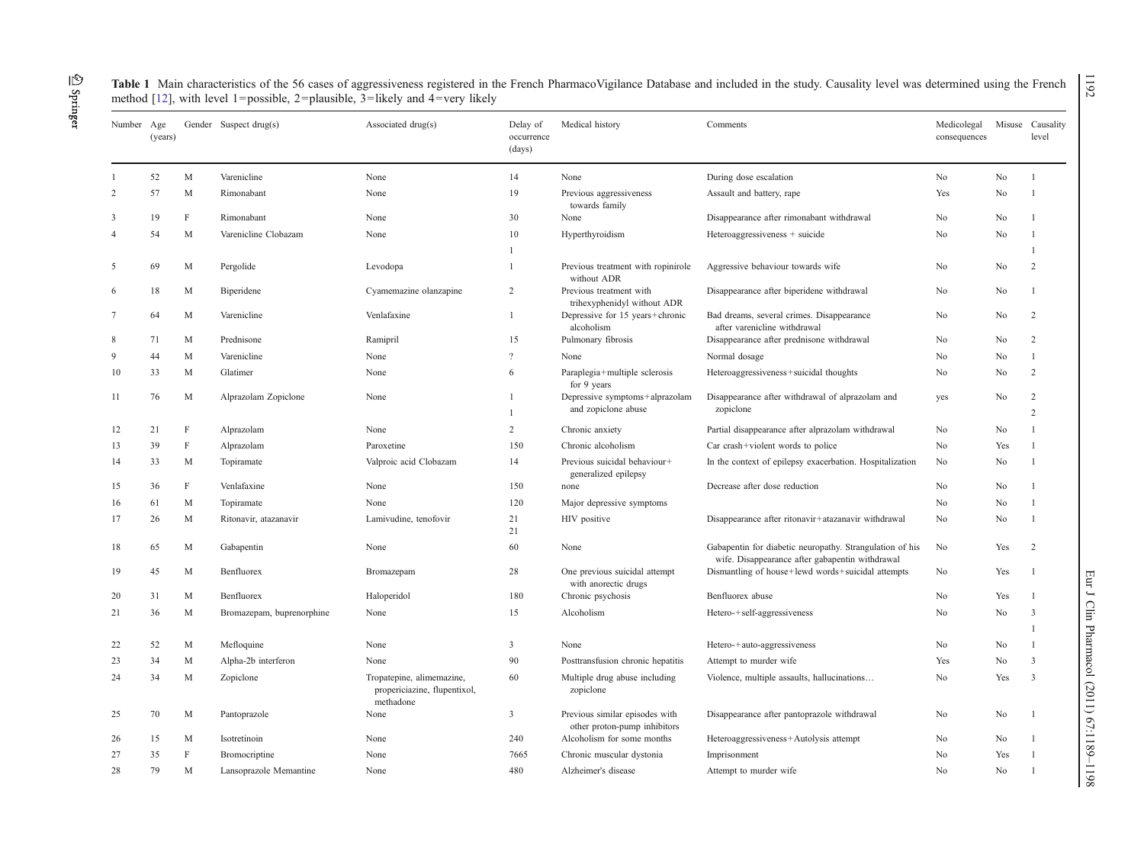| Number Age              | (years) |              | Gender Suspect drug(s)    | Associated drug(s)                                                     | Delay of<br>occurrence<br>(days) | Medical history                                                | Comments                                                                                                    | Medicolegal<br>consequences |                | Misuse Causality<br>level |
|-------------------------|---------|--------------|---------------------------|------------------------------------------------------------------------|----------------------------------|----------------------------------------------------------------|-------------------------------------------------------------------------------------------------------------|-----------------------------|----------------|---------------------------|
|                         | 52      | M            | Varenicline               | None                                                                   | 14                               | None                                                           | During dose escalation                                                                                      | No                          | No             | $\overline{1}$            |
| $\overline{2}$          | 57      | M            | Rimonabant                | None                                                                   | 19                               | Previous aggressiveness<br>towards family                      | Assault and battery, rape                                                                                   | Yes                         | No             | -1                        |
| $\overline{\mathbf{3}}$ | 19      | $\rm F$      | Rimonabant                | None                                                                   | 30                               | None                                                           | Disappearance after rimonabant withdrawal                                                                   | No                          | No             | $\mathbf{1}$              |
| $\overline{4}$          | 54      | M            | Varenicline Clobazam      | None                                                                   | 10                               | Hyperthyroidism                                                | Heteroaggressiveness + suicide                                                                              | No                          | No             |                           |
|                         |         |              |                           |                                                                        | $\overline{1}$                   |                                                                |                                                                                                             |                             |                |                           |
| 5                       | 69      | M            | Pergolide                 | Levodopa                                                               | $\overline{1}$                   | Previous treatment with ropinirole<br>without ADR              | Aggressive behaviour towards wife                                                                           | No                          | No             | 2                         |
| 6                       | 18      | M            | Biperidene                | Cyamemazine olanzapine                                                 | $\overline{c}$                   | Previous treatment with<br>trihexyphenidyl without ADR         | Disappearance after biperidene withdrawal                                                                   | No                          | No             | $\overline{1}$            |
| $\overline{7}$          | 64      | M            | Varenicline               | Venlafaxine                                                            | $\overline{1}$                   | Depressive for 15 years+chronic<br>alcoholism                  | Bad dreams, several crimes. Disappearance<br>after varenicline withdrawal                                   | No                          | No             | 2                         |
| 8                       | 71      | M            | Prednisone                | Ramipril                                                               | 15                               | Pulmonary fibrosis                                             | Disappearance after prednisone withdrawal                                                                   | No                          | No             | 2                         |
| 9                       | 44      | M            | Varenicline               | None                                                                   | $\gamma$                         | None                                                           | Normal dosage                                                                                               | No                          | No             | $\mathbf{1}$              |
| 10                      | 33      | M            | Glatimer                  | None                                                                   | 6                                | Paraplegia+multiple sclerosis<br>for 9 years                   | Heteroaggressiveness+suicidal thoughts                                                                      | No                          | No             | 2                         |
| 11                      | 76      | M            | Alprazolam Zopiclone      | None                                                                   | $\overline{1}$                   | Depressive symptoms+alprazolam                                 | Disappearance after withdrawal of alprazolam and                                                            | yes                         | No             | $\overline{2}$            |
|                         |         |              |                           |                                                                        | $\overline{1}$                   | and zopiclone abuse                                            | zopiclone                                                                                                   |                             |                | $\overline{2}$            |
| 12                      | 21      | F            | Alprazolam                | None                                                                   | 2                                | Chronic anxiety                                                | Partial disappearance after alprazolam withdrawal                                                           | No                          | No             | -1                        |
| 13                      | 39      | $\rm F$      | Alprazolam                | Paroxetine                                                             | 150                              | Chronic alcoholism                                             | Car crash+violent words to police                                                                           | No                          | Yes            | $\overline{1}$            |
| 14                      | 33      | M            | Topiramate                | Valproic acid Clobazam                                                 | 14                               | Previous suicidal behaviour+<br>generalized epilepsy           | In the context of epilepsy exacerbation. Hospitalization                                                    | No                          | No             | $\overline{1}$            |
| 15                      | 36      | F            | Venlafaxine               | None                                                                   | 150                              | none                                                           | Decrease after dose reduction                                                                               | No                          | No             | -1                        |
| 16                      | 61      | M            | Topiramate                | None                                                                   | 120                              | Major depressive symptoms                                      |                                                                                                             | No                          | No             | -1                        |
| 17                      | 26      | M            | Ritonavir, atazanavir     | Lamivudine, tenofovir                                                  | 21<br>21                         | HIV positive                                                   | Disappearance after ritonavir+atazanavir withdrawal                                                         | No                          | No             | $\mathbf{1}$              |
| 18                      | 65      | M            | Gabapentin                | None                                                                   | 60                               | None                                                           | Gabapentin for diabetic neuropathy. Strangulation of his<br>wife. Disappearance after gabapentin withdrawal | No                          | Yes            | $\overline{2}$            |
| 19                      | 45      | M            | Benfluorex                | Bromazepam                                                             | 28                               | One previous suicidal attempt<br>with anorectic drugs          | Dismantling of house+lewd words+suicidal attempts                                                           | No                          | Yes            | $\overline{1}$            |
| 20                      | 31      | M            | Benfluorex                | Haloperidol                                                            | 180                              | Chronic psychosis                                              | Benfluorex abuse                                                                                            | No                          | Yes            | -1                        |
| 21                      | 36      | M            | Bromazepam, buprenorphine | None                                                                   | 15                               | Alcoholism                                                     | Hetero-+self-aggressiveness                                                                                 | No                          | No             | 3                         |
|                         |         |              |                           |                                                                        |                                  |                                                                |                                                                                                             |                             |                | $\mathbf{1}$              |
| 22                      | 52      | M            | Mefloquine                | None                                                                   | $\mathbf{3}$                     | None                                                           | Hetero-+auto-aggressiveness                                                                                 | No                          | No             | -1                        |
| 23                      | 34      | M            | Alpha-2b interferon       | None                                                                   | 90                               | Posttransfusion chronic hepatitis                              | Attempt to murder wife                                                                                      | Yes                         | No             | 3                         |
| 24                      | 34      | M            | Zopiclone                 | Tropatepine, alimemazine,<br>propericiazine, flupentixol,<br>methadone | 60                               | Multiple drug abuse including<br>zopiclone                     | Violence, multiple assaults, hallucinations                                                                 | No                          | Yes            | 3                         |
| 25                      | 70      | M            | Pantoprazole              | None                                                                   | $\overline{3}$                   | Previous similar episodes with<br>other proton-pump inhibitors | Disappearance after pantoprazole withdrawal                                                                 | No                          | No             |                           |
| 26                      | 15      | M            | Isotretinoin              | None                                                                   | 240                              | Alcoholism for some months                                     | Heteroaggressiveness+Autolysis attempt                                                                      | No                          | No             |                           |
| 27                      | 35      | $\mathbf{F}$ | Bromocriptine             | None                                                                   | 7665                             | Chronic muscular dystonia                                      | Imprisonment                                                                                                | No                          | Yes            |                           |
| 28                      | 79      | M            | Lansoprazole Memantine    | None                                                                   | 480                              | Alzheimer's disease                                            | Attempt to murder wife                                                                                      | No                          | N <sub>0</sub> | $\overline{1}$            |

<span id="page-3-0"></span>Table 1 Main characteristics of the 56 cases of aggressiveness registered in the French PharmacoVigilance Database and included in the study. Causality level was determined using the French method [[12](#page-8-0)], with level 1=possible, 2=plausible, 3=likely and 4=very likely

1192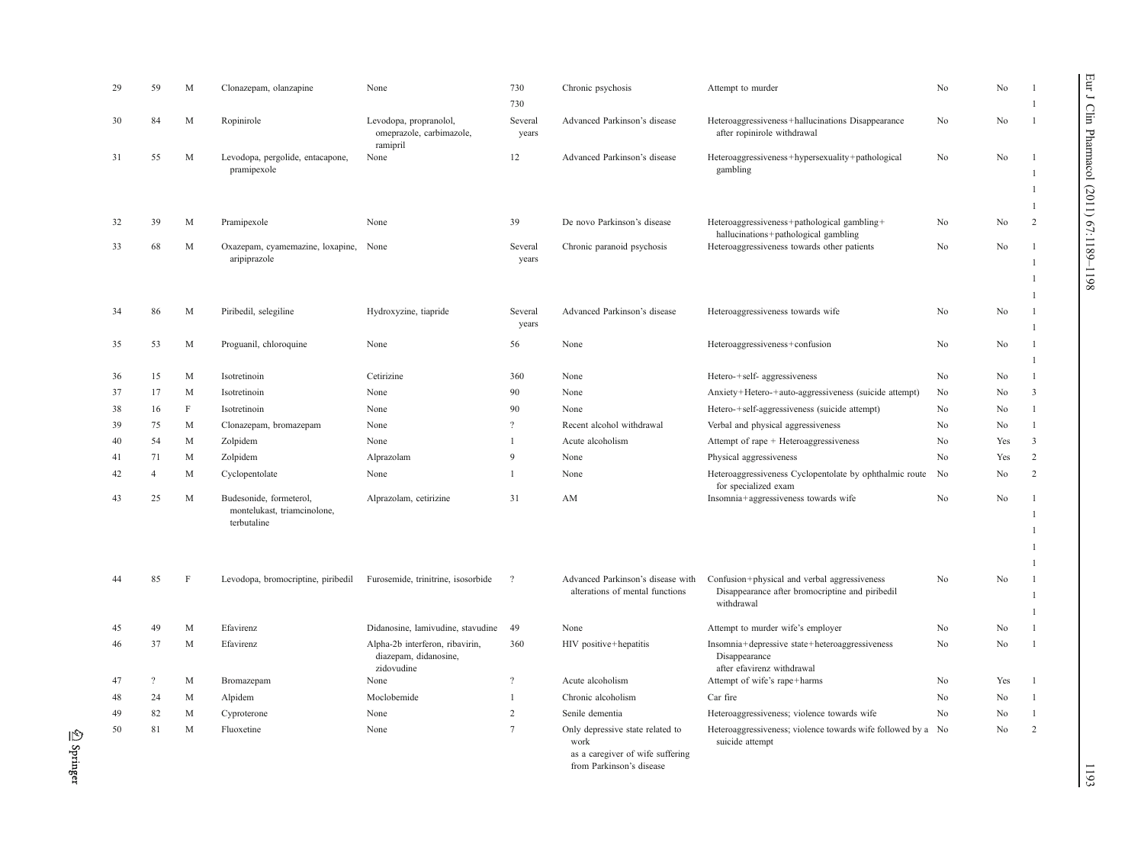| 29 | 59                       | M | Clonazepam, olanzapine                                                | None                                                                   | 730<br>730       | Chronic psychosis                                                            | Attempt to murder                                                                             | No             | No             | 1                           |
|----|--------------------------|---|-----------------------------------------------------------------------|------------------------------------------------------------------------|------------------|------------------------------------------------------------------------------|-----------------------------------------------------------------------------------------------|----------------|----------------|-----------------------------|
| 30 | 84                       | M | Ropinirole                                                            | Levodopa, propranolol,<br>omeprazole, carbimazole,<br>ramipril         | Several<br>years | Advanced Parkinson's disease                                                 | Heteroaggressiveness+hallucinations Disappearance<br>after ropinirole withdrawal              | No             | No             | $\overline{1}$              |
| 31 | 55                       | M | Levodopa, pergolide, entacapone,<br>pramipexole                       | None                                                                   | 12               | Advanced Parkinson's disease                                                 | Heteroaggressiveness+hypersexuality+pathological<br>gambling                                  | No             | No             | 1                           |
|    |                          |   |                                                                       |                                                                        |                  |                                                                              |                                                                                               |                |                | 1                           |
| 32 | 39                       | M | Pramipexole                                                           | None                                                                   | 39               | De novo Parkinson's disease                                                  | Heteroaggressiveness+pathological gambling+<br>hallucinations+pathological gambling           | N <sub>o</sub> | No             | 2                           |
| 33 | 68                       | M | Oxazepam, cyamemazine, loxapine,<br>aripiprazole                      | None                                                                   | Several<br>years | Chronic paranoid psychosis                                                   | Heteroaggressiveness towards other patients                                                   | No             | No             | -1<br>1<br>1                |
|    |                          |   |                                                                       |                                                                        |                  |                                                                              |                                                                                               |                |                | 1                           |
| 34 | 86                       | М | Piribedil, selegiline                                                 | Hydroxyzine, tiapride                                                  | Several<br>years | Advanced Parkinson's disease                                                 | Heteroaggressiveness towards wife                                                             | No             | No             | $\overline{1}$<br>1         |
| 35 | 53                       | M | Proguanil, chloroquine                                                | None                                                                   | 56               | None                                                                         | Heteroaggressiveness+confusion                                                                | No             | No             | $\mathbf{1}$<br>1           |
| 36 | 15                       | M | Isotretinoin                                                          | Cetirizine                                                             | 360              | None                                                                         | Hetero-+self- aggressiveness                                                                  | No             | No             | $\mathbf{1}$                |
| 37 | 17                       | M | Isotretinoin                                                          | None                                                                   | 90               | None                                                                         | Anxiety+Hetero-+auto-aggressiveness (suicide attempt)                                         | No             | No             | 3                           |
| 38 | 16                       | F | Isotretinoin                                                          | None                                                                   | 90               | None                                                                         | Hetero-+self-aggressiveness (suicide attempt)                                                 | N <sub>0</sub> | No             | $\mathbf{1}$                |
| 39 | 75                       | M | Clonazepam, bromazepam                                                | None                                                                   | $\gamma$         | Recent alcohol withdrawal                                                    | Verbal and physical aggressiveness                                                            | No             | No             | $\mathbf{1}$                |
| 40 | 54                       | M | Zolpidem                                                              | None                                                                   | $\mathbf{1}$     | Acute alcoholism                                                             | Attempt of rape + Heteroaggressiveness                                                        | No             | Yes            | $\overline{3}$              |
| 41 | 71                       | M | Zolpidem                                                              | Alprazolam                                                             | $\mathbf Q$      | None                                                                         | Physical aggressiveness                                                                       | N <sub>o</sub> | Yes            | 2                           |
| 42 | $\overline{4}$           | M | Cyclopentolate                                                        | None                                                                   | $\mathbf{1}$     | None                                                                         | Heteroaggressiveness Cyclopentolate by ophthalmic route<br>for specialized exam               | No             | No             | 2                           |
| 43 | 25                       | M | Budesonide, formeterol.<br>montelukast, triamcinolone,<br>terbutaline | Alprazolam, cetirizine                                                 | 31               | AM                                                                           | Insomnia+aggressiveness towards wife                                                          | No             | N <sub>0</sub> | $\mathbf{1}$<br>1<br>1<br>1 |
|    |                          |   |                                                                       |                                                                        |                  |                                                                              |                                                                                               |                |                | 1                           |
| 44 | 85                       | F | Levodopa, bromocriptine, piribedil                                    | Furosemide, trinitrine, isosorbide                                     | $\gamma$         | Advanced Parkinson's disease with                                            | Confusion+physical and verbal aggressiveness                                                  | No             | No             | -1                          |
|    |                          |   |                                                                       |                                                                        |                  | alterations of mental functions                                              | Disappearance after bromocriptine and piribedil<br>withdrawal                                 |                |                | 1                           |
|    |                          |   |                                                                       |                                                                        |                  |                                                                              |                                                                                               |                |                | 1                           |
| 45 | 49                       | M | Efavirenz                                                             | Didanosine, lamivudine, stavudine                                      | 49               | None                                                                         | Attempt to murder wife's employer                                                             | No             | No             | 1                           |
| 46 | 37                       | M | Efavirenz                                                             | Alpha-2b interferon, ribavirin,<br>diazepam, didanosine,<br>zidovudine | 360              | HIV positive+hepatitis                                                       | Insomnia+depressive state+heteroaggressiveness<br>Disappearance<br>after efavirenz withdrawal | No             | No             | $\mathbf{1}$                |
| 47 | $\overline{\mathcal{L}}$ | M | Bromazepam                                                            | None                                                                   | $\gamma$         | Acute alcoholism                                                             | Attempt of wife's rape+harms                                                                  | No             | Yes            | 1                           |
| 48 | 24                       | M | Alpidem                                                               | Moclobemide                                                            | $\mathbf{1}$     | Chronic alcoholism                                                           | Car fire                                                                                      | No             | No             | $\mathbf{1}$                |
| 49 | 82                       | M | Cyproterone                                                           | None                                                                   | $\overline{2}$   | Senile dementia                                                              | Heteroaggressiveness; violence towards wife                                                   | No             | No             | $\mathbf{1}$                |
| 50 | 81                       | M | Fluoxetine                                                            | None                                                                   | $7\phantom{.0}$  | Only depressive state related to<br>work<br>as a caregiver of wife suffering | Heteroaggressiveness; violence towards wife followed by a No<br>suicide attempt               |                | No             | 2                           |

from Parkinson'<sup>s</sup> disease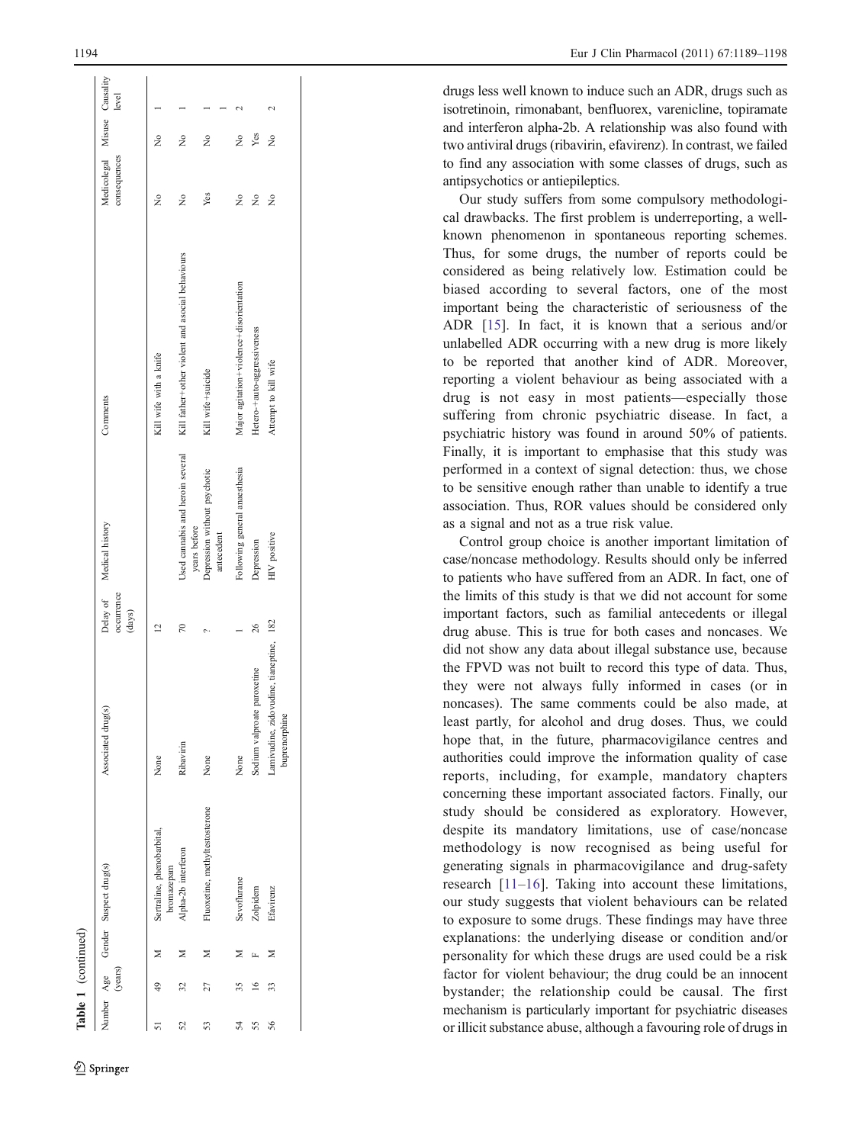|    | (years)        |   | Number Age Gender Suspect drug(s)        | Associated drug(s)                                       | occurrence<br>$\frac{(\text{days})}{\text{days}}$ | Delay of Medical history                                   | Comments                                         | Medicolegal Misuse Causality<br>consequences |     | level |
|----|----------------|---|------------------------------------------|----------------------------------------------------------|---------------------------------------------------|------------------------------------------------------------|--------------------------------------------------|----------------------------------------------|-----|-------|
|    | $\frac{49}{5}$ | Σ | Sertraline, phenobarbital,<br>bromazepam | None                                                     | 2                                                 |                                                            | Kill wife with a knife                           | ż                                            | ż   |       |
| 52 | 32             | Σ | Alpha-2b interferon                      | Ribavirin                                                | R                                                 | Used cannabis and heroin several                           | Kill father+other violent and asocial behaviours | $\frac{1}{2}$                                | 2   |       |
| 53 | 27             | Σ | Fluoxetine, methyltestosterone           | None                                                     |                                                   | Depression without psychotic<br>years before<br>antecedent | Kill wife+suicide                                | Yes                                          | ž   |       |
| 54 | 35             | Σ | Sevoflurane                              | None                                                     |                                                   | Following general anaesthesia                              | Major agitation+violence+disorientation          | Σò                                           | ż   |       |
| 55 | $\frac{6}{2}$  |   | Zolpidem                                 | Sodium valproate paroxetine                              | 26                                                | Depression                                                 | Hetero-+auto-aggressiveness                      | $\frac{1}{2}$                                | Yes |       |
| 56 | 33             | ⋝ | Efavirenz                                | Lamivudine, zidovudine, tianeptine, 182<br>buprenorphine |                                                   | HIV positive                                               | Attempt to kill wife                             | ž                                            | ž   |       |

drugs less well known to induce such an ADR, drugs such as isotretinoin, rimonabant, benfluorex, varenicline, topiramate and interferon alpha-2b. A relationship was also found with two antiviral drugs (ribavirin, efavirenz). In contrast, we failed to find any association with some classes of drugs, such as antipsychotics or antiepileptics.

Our study suffers from some compulsory methodological drawbacks. The first problem is underreporting, a wellknown phenomenon in spontaneous reporting schemes. Thus, for some drugs, the number of reports could be considered as being relatively low. Estimation could be biased according to several factors, one of the most important being the characteristic of seriousness of the ADR [[15\]](#page-8-0). In fact, it is known that a serious and/or unlabelled ADR occurring with a new drug is more likely to be reported that another kind of ADR. Moreover, reporting a violent behaviour as being associated with a drug is not easy in most patients —especially those suffering from chronic psychiatric disease. In fact, a psychiatric history was found in around 50% of patients. Finally, it is important to emphasise that this study was performed in a context of signal detection: thus, we chose to be sensitive enough rather than unable to identify a true association. Thus, ROR values should be considered only as a signal and not as a true risk value.

Control group choice is another important limitation of case/noncase methodology. Results should only be inferred to patients who have suffered from an ADR. In fact, one of the limits of this study is that we did not account for some important factors, such as familial antecedents or illegal drug abuse. This is true for both cases and noncases. We did not show any data about illegal substance use, because the FPVD was not built to record this type of data. Thus, they were not always fully informed in cases (or in noncases). The same comments could be also made, at least partly, for alcohol and drug doses. Thus, we could hope that, in the future, pharmacovigilance centres and authorities could improve the information quality of case reports, including, for example, mandatory chapters concerning these important associated factors. Finally, our study should be considered as exploratory. However, despite its mandatory limitations, use of case/noncase methodology is now recognised as being useful for generating signals in pharmacovigilance and drug-safety research [\[11](#page-8-0) –[16](#page-8-0)]. Taking into account these limitations, our study suggests that violent behaviours can be related to exposure to some drugs. These findings may have three explanations: the underlying disease or condition and/or personality for which these drugs are used could be a risk factor for violent behaviour; the drug could be an innocent bystander; the relationship could be causal. The first mechanism is particularly important for psychiatric diseases or illicit substance abuse, although a favouring role of drugs in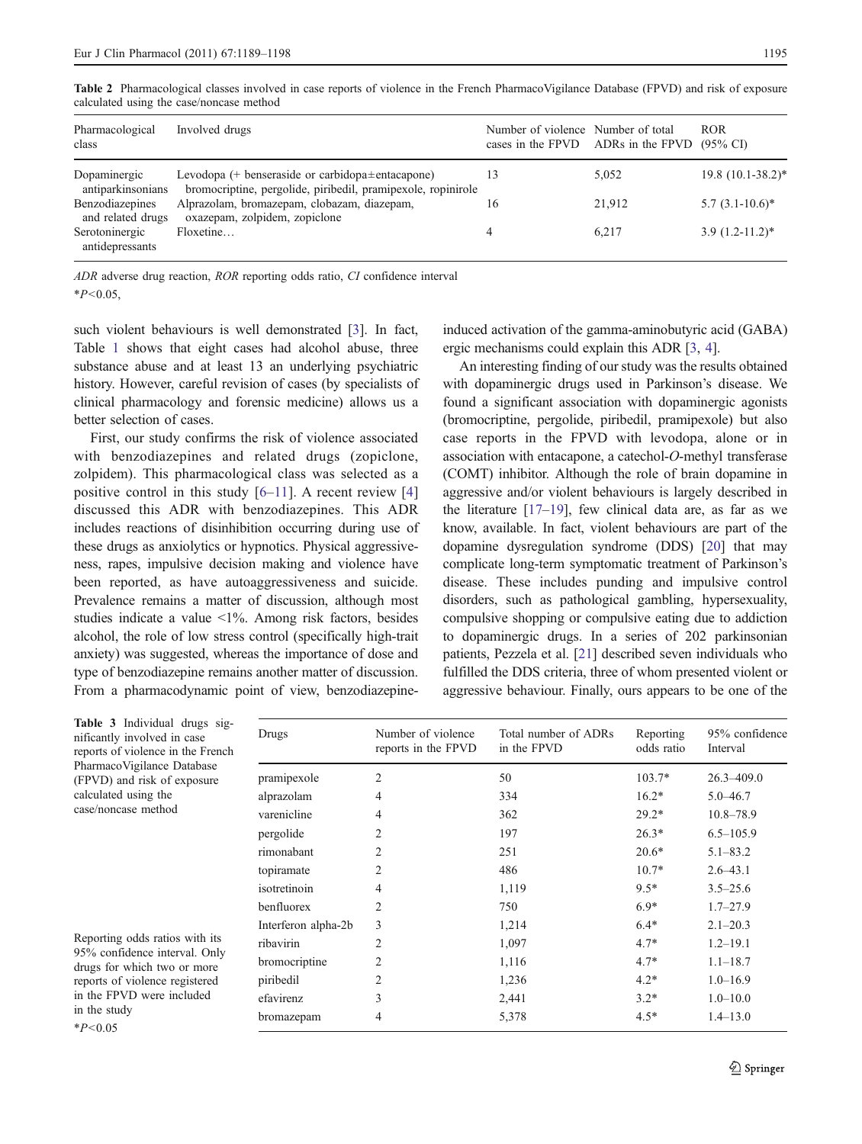| Pharmacological<br>class             | Involved drugs                                                                                                         | Number of violence Number of total<br>cases in the FPVD | ADRs in the FPVD $(95\% \text{ CI})$ | <b>ROR</b>          |
|--------------------------------------|------------------------------------------------------------------------------------------------------------------------|---------------------------------------------------------|--------------------------------------|---------------------|
| Dopaminergic<br>antiparkinsonians    | Levodopa (+ benseraside or carbidopa $\pm$ entacapone)<br>bromocriptine, pergolide, piribedil, pramipexole, ropinirole | 13                                                      | 5.052                                | $19.8(10.1-38.2)^*$ |
| Benzodiazepines<br>and related drugs | Alprazolam, bromazepam, clobazam, diazepam,<br>oxazepam, zolpidem, zopiclone                                           | 16                                                      | 21,912                               | $5.7(3.1-10.6)$ *   |
| Serotoninergic<br>antidepressants    | Floxetine                                                                                                              | 4                                                       | 6.217                                | $3.9(1.2-11.2)*$    |

<span id="page-6-0"></span>Table 2 Pharmacological classes involved in case reports of violence in the French PharmacoVigilance Database (FPVD) and risk of exposure calculated using the case/noncase method

ADR adverse drug reaction, ROR reporting odds ratio, CI confidence interval  $*P<0.05$ ,

such violent behaviours is well demonstrated [[3\]](#page-8-0). In fact, Table [1](#page-3-0) shows that eight cases had alcohol abuse, three substance abuse and at least 13 an underlying psychiatric history. However, careful revision of cases (by specialists of clinical pharmacology and forensic medicine) allows us a better selection of cases.

First, our study confirms the risk of violence associated with benzodiazepines and related drugs (zopiclone, zolpidem). This pharmacological class was selected as a positive control in this study  $[6-11]$  $[6-11]$  $[6-11]$  $[6-11]$ . A recent review  $[4]$  $[4]$ discussed this ADR with benzodiazepines. This ADR includes reactions of disinhibition occurring during use of these drugs as anxiolytics or hypnotics. Physical aggressiveness, rapes, impulsive decision making and violence have been reported, as have autoaggressiveness and suicide. Prevalence remains a matter of discussion, although most studies indicate a value <1%. Among risk factors, besides alcohol, the role of low stress control (specifically high-trait anxiety) was suggested, whereas the importance of dose and type of benzodiazepine remains another matter of discussion. From a pharmacodynamic point of view, benzodiazepineinduced activation of the gamma-aminobutyric acid (GABA) ergic mechanisms could explain this ADR [[3,](#page-8-0) [4](#page-8-0)].

An interesting finding of our study was the results obtained with dopaminergic drugs used in Parkinson's disease. We found a significant association with dopaminergic agonists (bromocriptine, pergolide, piribedil, pramipexole) but also case reports in the FPVD with levodopa, alone or in association with entacapone, a catechol-O-methyl transferase (COMT) inhibitor. Although the role of brain dopamine in aggressive and/or violent behaviours is largely described in the literature  $[17-19]$  $[17-19]$  $[17-19]$ , few clinical data are, as far as we know, available. In fact, violent behaviours are part of the dopamine dysregulation syndrome (DDS) [\[20](#page-8-0)] that may complicate long-term symptomatic treatment of Parkinson's disease. These includes punding and impulsive control disorders, such as pathological gambling, hypersexuality, compulsive shopping or compulsive eating due to addiction to dopaminergic drugs. In a series of 202 parkinsonian patients, Pezzela et al. [[21](#page-8-0)] described seven individuals who fulfilled the DDS criteria, three of whom presented violent or aggressive behaviour. Finally, ours appears to be one of the

Table 3 Individual drugs significantly involved in case reports of violence in the French PharmacoVigilance Database (FPVD) and risk of exposure calculated using the case/noncase method

Reporting odds ratios with its 95% confidence interval. Only drugs for which two or more reports of violence registered in the FPVD were included in the study

 $*P<0.05$ 

| Drugs               | Number of violence<br>reports in the FPVD | Total number of ADRs<br>in the FPVD | Reporting<br>odds ratio | 95% confidence<br>Interval |
|---------------------|-------------------------------------------|-------------------------------------|-------------------------|----------------------------|
| pramipexole         | $\overline{2}$                            | 50                                  | $103.7*$                | $26.3 - 409.0$             |
| alprazolam          | 4                                         | 334                                 | $16.2*$                 | $5.0 - 46.7$               |
| varenicline         | 4                                         | 362                                 | $29.2*$                 | $10.8 - 78.9$              |
| pergolide           | 2                                         | 197                                 | $26.3*$                 | $6.5 - 105.9$              |
| rimonabant          | $\overline{2}$                            | 251                                 | $20.6*$                 | $5.1 - 83.2$               |
| topiramate          | 2                                         | 486                                 | $10.7*$                 | $2.6 - 43.1$               |
| isotretinoin        | 4                                         | 1,119                               | $9.5*$                  | $3.5 - 25.6$               |
| benfluorex          | $\overline{2}$                            | 750                                 | $6.9*$                  | $1.7 - 27.9$               |
| Interferon alpha-2b | 3                                         | 1,214                               | $6.4*$                  | $2.1 - 20.3$               |
| ribavirin           | $\overline{2}$                            | 1,097                               | $4.7*$                  | $1.2 - 19.1$               |
| bromocriptine       | 2                                         | 1,116                               | $4.7*$                  | $1.1 - 18.7$               |
| piribedil           | 2                                         | 1,236                               | $4.2*$                  | $1.0 - 16.9$               |
| efavirenz           | 3                                         | 2,441                               | $3.2*$                  | $1.0 - 10.0$               |
| bromazepam          | 4                                         | 5,378                               | $4.5*$                  | $1.4 - 13.0$               |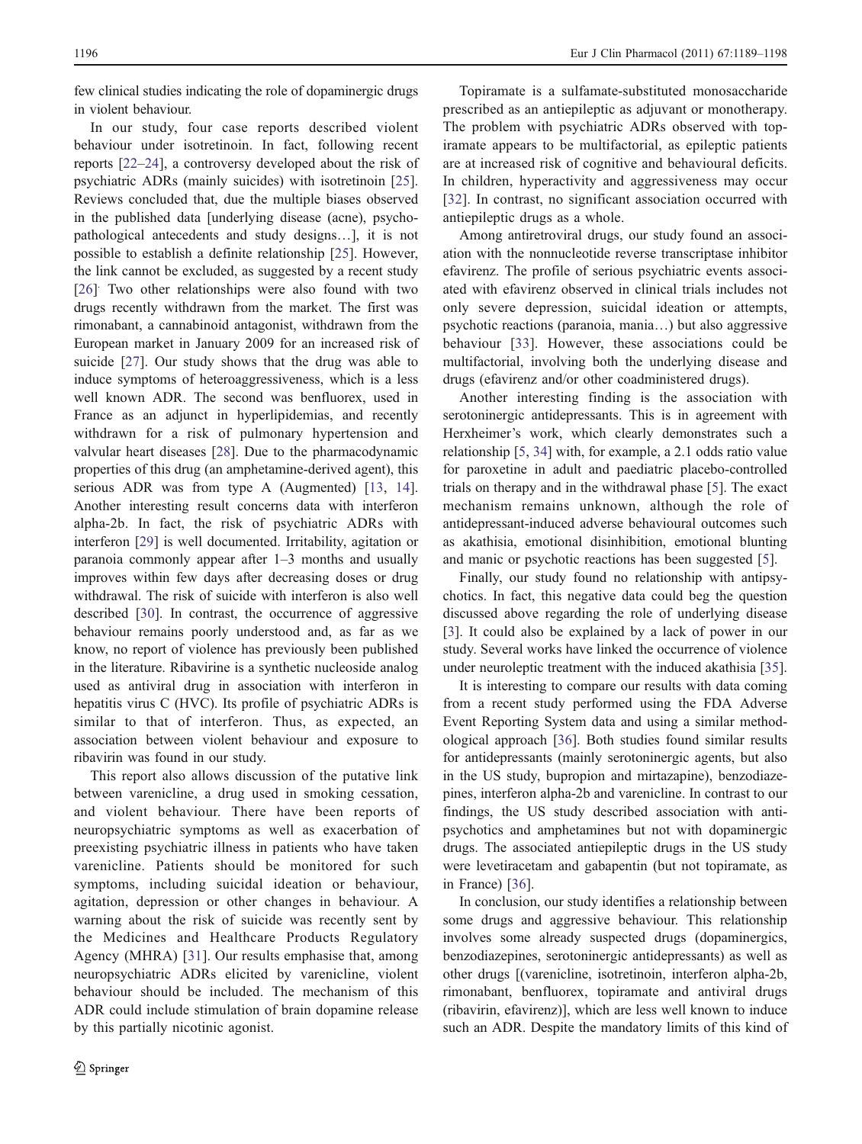few clinical studies indicating the role of dopaminergic drugs in violent behaviour.

In our study, four case reports described violent behaviour under isotretinoin. In fact, following recent reports [\[22](#page-8-0)–[24](#page-8-0)], a controversy developed about the risk of psychiatric ADRs (mainly suicides) with isotretinoin [\[25](#page-8-0)]. Reviews concluded that, due the multiple biases observed in the published data [underlying disease (acne), psychopathological antecedents and study designs…], it is not possible to establish a definite relationship [\[25](#page-8-0)]. However, the link cannot be excluded, as suggested by a recent study [\[26](#page-8-0)] Two other relationships were also found with two drugs recently withdrawn from the market. The first was rimonabant, a cannabinoid antagonist, withdrawn from the European market in January 2009 for an increased risk of suicide [[27\]](#page-8-0). Our study shows that the drug was able to induce symptoms of heteroaggressiveness, which is a less well known ADR. The second was benfluorex, used in France as an adjunct in hyperlipidemias, and recently withdrawn for a risk of pulmonary hypertension and valvular heart diseases [\[28](#page-8-0)]. Due to the pharmacodynamic properties of this drug (an amphetamine-derived agent), this serious ADR was from type A (Augmented) [\[13](#page-8-0), [14](#page-8-0)]. Another interesting result concerns data with interferon alpha-2b. In fact, the risk of psychiatric ADRs with interferon [\[29](#page-8-0)] is well documented. Irritability, agitation or paranoia commonly appear after 1–3 months and usually improves within few days after decreasing doses or drug withdrawal. The risk of suicide with interferon is also well described [[30\]](#page-9-0). In contrast, the occurrence of aggressive behaviour remains poorly understood and, as far as we know, no report of violence has previously been published in the literature. Ribavirine is a synthetic nucleoside analog used as antiviral drug in association with interferon in hepatitis virus C (HVC). Its profile of psychiatric ADRs is similar to that of interferon. Thus, as expected, an association between violent behaviour and exposure to ribavirin was found in our study.

This report also allows discussion of the putative link between varenicline, a drug used in smoking cessation, and violent behaviour. There have been reports of neuropsychiatric symptoms as well as exacerbation of preexisting psychiatric illness in patients who have taken varenicline. Patients should be monitored for such symptoms, including suicidal ideation or behaviour, agitation, depression or other changes in behaviour. A warning about the risk of suicide was recently sent by the Medicines and Healthcare Products Regulatory Agency (MHRA) [[31\]](#page-9-0). Our results emphasise that, among neuropsychiatric ADRs elicited by varenicline, violent behaviour should be included. The mechanism of this ADR could include stimulation of brain dopamine release by this partially nicotinic agonist.

Topiramate is a sulfamate-substituted monosaccharide prescribed as an antiepileptic as adjuvant or monotherapy. The problem with psychiatric ADRs observed with topiramate appears to be multifactorial, as epileptic patients are at increased risk of cognitive and behavioural deficits. In children, hyperactivity and aggressiveness may occur [\[32\]](#page-9-0). In contrast, no significant association occurred with antiepileptic drugs as a whole.

Among antiretroviral drugs, our study found an association with the nonnucleotide reverse transcriptase inhibitor efavirenz. The profile of serious psychiatric events associated with efavirenz observed in clinical trials includes not only severe depression, suicidal ideation or attempts, psychotic reactions (paranoia, mania…) but also aggressive behaviour [[33](#page-9-0)]. However, these associations could be multifactorial, involving both the underlying disease and drugs (efavirenz and/or other coadministered drugs).

Another interesting finding is the association with serotoninergic antidepressants. This is in agreement with Herxheimer's work, which clearly demonstrates such a relationship [\[5](#page-8-0), [34](#page-9-0)] with, for example, a 2.1 odds ratio value for paroxetine in adult and paediatric placebo-controlled trials on therapy and in the withdrawal phase [[5\]](#page-8-0). The exact mechanism remains unknown, although the role of antidepressant-induced adverse behavioural outcomes such as akathisia, emotional disinhibition, emotional blunting and manic or psychotic reactions has been suggested [[5\]](#page-8-0).

Finally, our study found no relationship with antipsychotics. In fact, this negative data could beg the question discussed above regarding the role of underlying disease [\[3](#page-8-0)]. It could also be explained by a lack of power in our study. Several works have linked the occurrence of violence under neuroleptic treatment with the induced akathisia [[35\]](#page-9-0).

It is interesting to compare our results with data coming from a recent study performed using the FDA Adverse Event Reporting System data and using a similar methodological approach [[36](#page-9-0)]. Both studies found similar results for antidepressants (mainly serotoninergic agents, but also in the US study, bupropion and mirtazapine), benzodiazepines, interferon alpha-2b and varenicline. In contrast to our findings, the US study described association with antipsychotics and amphetamines but not with dopaminergic drugs. The associated antiepileptic drugs in the US study were levetiracetam and gabapentin (but not topiramate, as in France) [[36\]](#page-9-0).

In conclusion, our study identifies a relationship between some drugs and aggressive behaviour. This relationship involves some already suspected drugs (dopaminergics, benzodiazepines, serotoninergic antidepressants) as well as other drugs [(varenicline, isotretinoin, interferon alpha-2b, rimonabant, benfluorex, topiramate and antiviral drugs (ribavirin, efavirenz)], which are less well known to induce such an ADR. Despite the mandatory limits of this kind of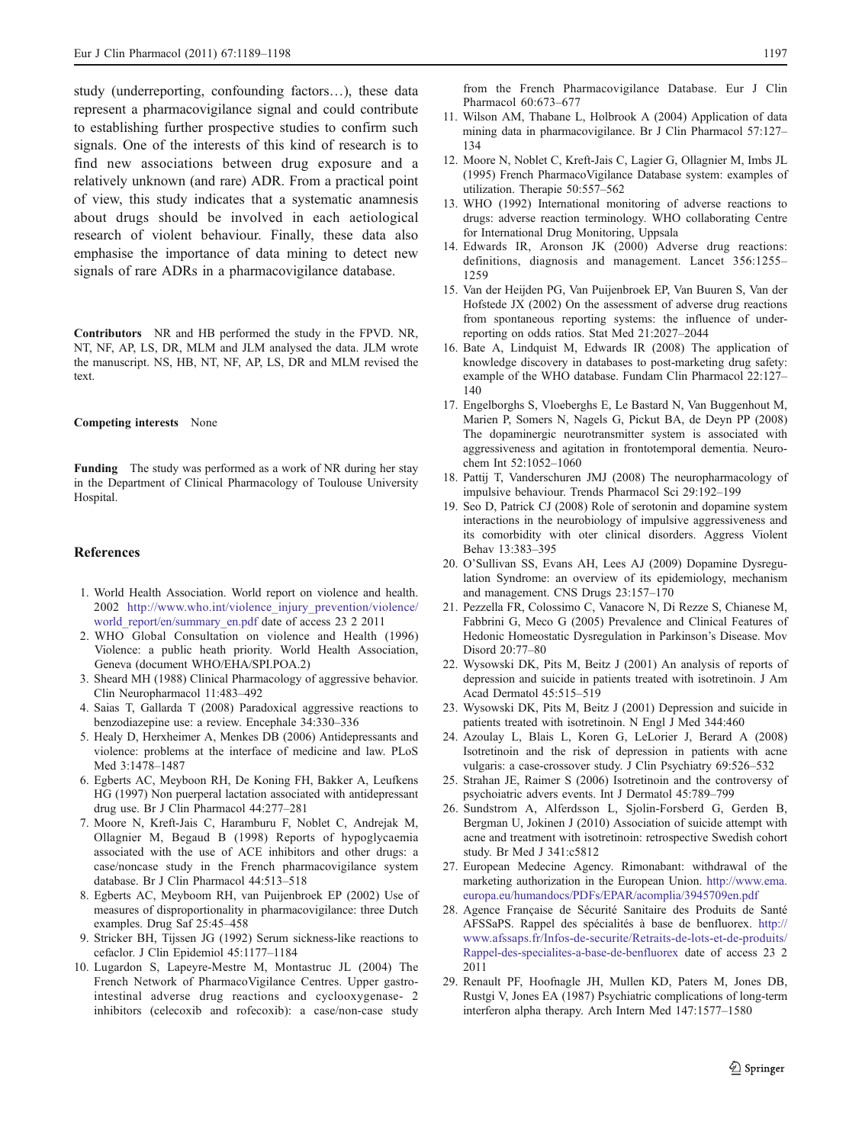<span id="page-8-0"></span>study (underreporting, confounding factors…), these data represent a pharmacovigilance signal and could contribute to establishing further prospective studies to confirm such signals. One of the interests of this kind of research is to find new associations between drug exposure and a relatively unknown (and rare) ADR. From a practical point of view, this study indicates that a systematic anamnesis about drugs should be involved in each aetiological research of violent behaviour. Finally, these data also emphasise the importance of data mining to detect new signals of rare ADRs in a pharmacovigilance database.

Contributors NR and HB performed the study in the FPVD. NR, NT, NF, AP, LS, DR, MLM and JLM analysed the data. JLM wrote the manuscript. NS, HB, NT, NF, AP, LS, DR and MLM revised the text.

#### Competing interests None

Funding The study was performed as a work of NR during her stay in the Department of Clinical Pharmacology of Toulouse University Hospital.

# References

- 1. World Health Association. World report on violence and health. 2002 [http://www.who.int/violence\\_injury\\_prevention/violence/](http://www.who.int/violence_injury_prevention/violence/world_report/en/summary_en.pdf) [world\\_report/en/summary\\_en.pdf](http://www.who.int/violence_injury_prevention/violence/world_report/en/summary_en.pdf) date of access 23 2 2011
- 2. WHO Global Consultation on violence and Health (1996) Violence: a public heath priority. World Health Association, Geneva (document WHO/EHA/SPI.POA.2)
- 3. Sheard MH (1988) Clinical Pharmacology of aggressive behavior. Clin Neuropharmacol 11:483–492
- 4. Saias T, Gallarda T (2008) Paradoxical aggressive reactions to benzodiazepine use: a review. Encephale 34:330–336
- 5. Healy D, Herxheimer A, Menkes DB (2006) Antidepressants and violence: problems at the interface of medicine and law. PLoS Med 3:1478–1487
- 6. Egberts AC, Meyboon RH, De Koning FH, Bakker A, Leufkens HG (1997) Non puerperal lactation associated with antidepressant drug use. Br J Clin Pharmacol 44:277–281
- 7. Moore N, Kreft-Jais C, Haramburu F, Noblet C, Andrejak M, Ollagnier M, Begaud B (1998) Reports of hypoglycaemia associated with the use of ACE inhibitors and other drugs: a case/noncase study in the French pharmacovigilance system database. Br J Clin Pharmacol 44:513–518
- 8. Egberts AC, Meyboom RH, van Puijenbroek EP (2002) Use of measures of disproportionality in pharmacovigilance: three Dutch examples. Drug Saf 25:45–458
- 9. Stricker BH, Tijssen JG (1992) Serum sickness-like reactions to cefaclor. J Clin Epidemiol 45:1177–1184
- 10. Lugardon S, Lapeyre-Mestre M, Montastruc JL (2004) The French Network of PharmacoVigilance Centres. Upper gastrointestinal adverse drug reactions and cyclooxygenase- 2 inhibitors (celecoxib and rofecoxib): a case/non-case study

from the French Pharmacovigilance Database. Eur J Clin Pharmacol 60:673–677

- 11. Wilson AM, Thabane L, Holbrook A (2004) Application of data mining data in pharmacovigilance. Br J Clin Pharmacol 57:127– 134
- 12. Moore N, Noblet C, Kreft-Jais C, Lagier G, Ollagnier M, Imbs JL (1995) French PharmacoVigilance Database system: examples of utilization. Therapie 50:557–562
- 13. WHO (1992) International monitoring of adverse reactions to drugs: adverse reaction terminology. WHO collaborating Centre for International Drug Monitoring, Uppsala
- 14. Edwards IR, Aronson JK (2000) Adverse drug reactions: definitions, diagnosis and management. Lancet 356:1255– 1259
- 15. Van der Heijden PG, Van Puijenbroek EP, Van Buuren S, Van der Hofstede JX (2002) On the assessment of adverse drug reactions from spontaneous reporting systems: the influence of underreporting on odds ratios. Stat Med 21:2027–2044
- 16. Bate A, Lindquist M, Edwards IR (2008) The application of knowledge discovery in databases to post-marketing drug safety: example of the WHO database. Fundam Clin Pharmacol 22:127– 140
- 17. Engelborghs S, Vloeberghs E, Le Bastard N, Van Buggenhout M, Marien P, Somers N, Nagels G, Pickut BA, de Deyn PP (2008) The dopaminergic neurotransmitter system is associated with aggressiveness and agitation in frontotemporal dementia. Neurochem Int 52:1052–1060
- 18. Pattij T, Vanderschuren JMJ (2008) The neuropharmacology of impulsive behaviour. Trends Pharmacol Sci 29:192–199
- 19. Seo D, Patrick CJ (2008) Role of serotonin and dopamine system interactions in the neurobiology of impulsive aggressiveness and its comorbidity with oter clinical disorders. Aggress Violent Behav 13:383–395
- 20. O'Sullivan SS, Evans AH, Lees AJ (2009) Dopamine Dysregulation Syndrome: an overview of its epidemiology, mechanism and management. CNS Drugs 23:157–170
- 21. Pezzella FR, Colossimo C, Vanacore N, Di Rezze S, Chianese M, Fabbrini G, Meco G (2005) Prevalence and Clinical Features of Hedonic Homeostatic Dysregulation in Parkinson's Disease. Mov Disord 20:77–80
- 22. Wysowski DK, Pits M, Beitz J (2001) An analysis of reports of depression and suicide in patients treated with isotretinoin. J Am Acad Dermatol 45:515–519
- 23. Wysowski DK, Pits M, Beitz J (2001) Depression and suicide in patients treated with isotretinoin. N Engl J Med 344:460
- 24. Azoulay L, Blais L, Koren G, LeLorier J, Berard A (2008) Isotretinoin and the risk of depression in patients with acne vulgaris: a case-crossover study. J Clin Psychiatry 69:526–532
- 25. Strahan JE, Raimer S (2006) Isotretinoin and the controversy of psychoiatric advers events. Int J Dermatol 45:789–799
- 26. Sundstrom A, Alferdsson L, Sjolin-Forsberd G, Gerden B, Bergman U, Jokinen J (2010) Association of suicide attempt with acne and treatment with isotretinoin: retrospective Swedish cohort study. Br Med J 341:c5812
- 27. European Medecine Agency. Rimonabant: withdrawal of the marketing authorization in the European Union. [http://www.ema.](http://www.ema.europa.eu/humandocs/PDFs/EPAR/acomplia/3945709en.pdf) [europa.eu/humandocs/PDFs/EPAR/acomplia/3945709en.pdf](http://www.ema.europa.eu/humandocs/PDFs/EPAR/acomplia/3945709en.pdf)
- 28. Agence Française de Sécurité Sanitaire des Produits de Santé AFSSaPS. Rappel des spécialités à base de benfluorex. [http://](http://www.afssaps.fr/Infos-de-securite/Retraits-de-lots-et-de-produits/Rappel-des-specialites-a-base-de-benfluorex) [www.afssaps.fr/Infos-de-securite/Retraits-de-lots-et-de-produits/](http://www.afssaps.fr/Infos-de-securite/Retraits-de-lots-et-de-produits/Rappel-des-specialites-a-base-de-benfluorex) [Rappel-des-specialites-a-base-de-benfluorex](http://www.afssaps.fr/Infos-de-securite/Retraits-de-lots-et-de-produits/Rappel-des-specialites-a-base-de-benfluorex) date of access 23 2 2011
- 29. Renault PF, Hoofnagle JH, Mullen KD, Paters M, Jones DB, Rustgi V, Jones EA (1987) Psychiatric complications of long-term interferon alpha therapy. Arch Intern Med 147:1577–1580